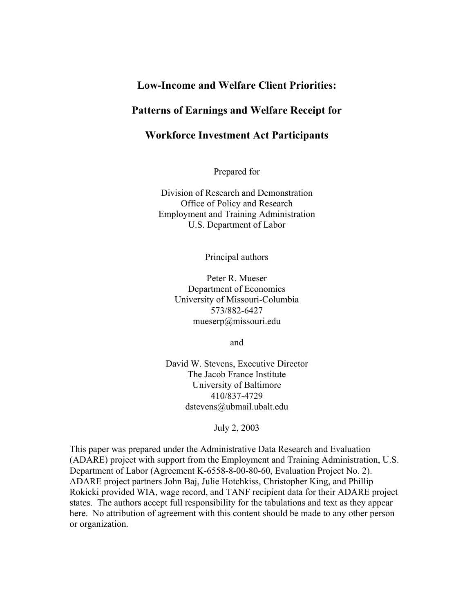# **Low-Income and Welfare Client Priorities:**

## **Patterns of Earnings and Welfare Receipt for**

## **Workforce Investment Act Participants**

Prepared for

Division of Research and Demonstration Office of Policy and Research Employment and Training Administration U.S. Department of Labor

Principal authors

Peter R. Mueser Department of Economics University of Missouri-Columbia 573/882-6427 mueserp@missouri.edu

and

David W. Stevens, Executive Director The Jacob France Institute University of Baltimore 410/837-4729 dstevens@ubmail.ubalt.edu

July 2, 2003

This paper was prepared under the Administrative Data Research and Evaluation (ADARE) project with support from the Employment and Training Administration, U.S. Department of Labor (Agreement K-6558-8-00-80-60, Evaluation Project No. 2). ADARE project partners John Baj, Julie Hotchkiss, Christopher King, and Phillip Rokicki provided WIA, wage record, and TANF recipient data for their ADARE project states. The authors accept full responsibility for the tabulations and text as they appear here. No attribution of agreement with this content should be made to any other person or organization.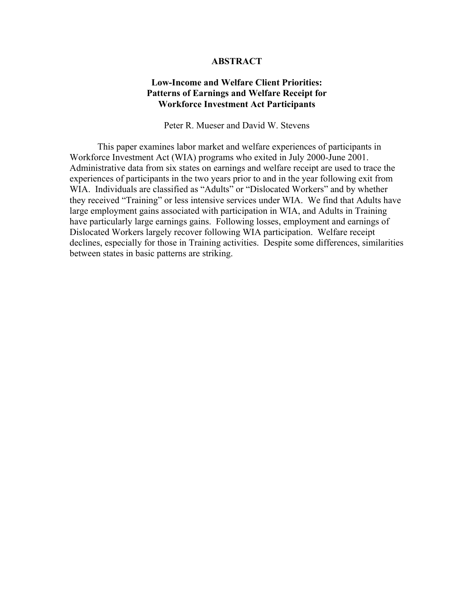### **ABSTRACT**

### **Low-Income and Welfare Client Priorities: Patterns of Earnings and Welfare Receipt for Workforce Investment Act Participants**

Peter R. Mueser and David W. Stevens

This paper examines labor market and welfare experiences of participants in Workforce Investment Act (WIA) programs who exited in July 2000-June 2001. Administrative data from six states on earnings and welfare receipt are used to trace the experiences of participants in the two years prior to and in the year following exit from WIA. Individuals are classified as "Adults" or "Dislocated Workers" and by whether they received "Training" or less intensive services under WIA. We find that Adults have large employment gains associated with participation in WIA, and Adults in Training have particularly large earnings gains. Following losses, employment and earnings of Dislocated Workers largely recover following WIA participation. Welfare receipt declines, especially for those in Training activities. Despite some differences, similarities between states in basic patterns are striking.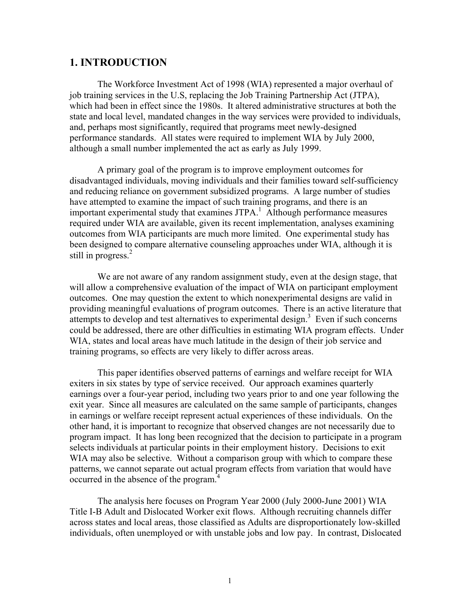## **1. INTRODUCTION**

The Workforce Investment Act of 1998 (WIA) represented a major overhaul of job training services in the U.S, replacing the Job Training Partnership Act (JTPA), which had been in effect since the 1980s. It altered administrative structures at both the state and local level, mandated changes in the way services were provided to individuals, and, perhaps most significantly, required that programs meet newly-designed performance standards. All states were required to implement WIA by July 2000, although a small number implemented the act as early as July 1999.

A primary goal of the program is to improve employment outcomes for disadvantaged individuals, moving individuals and their families toward self-sufficiency and reducing reliance on government subsidized programs. A large number of studies have attempted to examine the impact of such training programs, and there is an important experimental study that examines JTPA.<sup>1</sup> Although performance measures required under WIA are available, given its recent implementation, analyses examining outcomes from WIA participants are much more limited. One experimental study has been designed to compare alternative counseling approaches under WIA, although it is still in progress. $2$ 

We are not aware of any random assignment study, even at the design stage, that will allow a comprehensive evaluation of the impact of WIA on participant employment outcomes. One may question the extent to which nonexperimental designs are valid in providing meaningful evaluations of program outcomes. There is an active literature that  $\frac{1}{2}$  attempts to develop and test alternatives to experimental design.<sup>3</sup> Even if such concerns could be addressed, there are other difficulties in estimating WIA program effects. Under WIA, states and local areas have much latitude in the design of their job service and training programs, so effects are very likely to differ across areas.

This paper identifies observed patterns of earnings and welfare receipt for WIA exiters in six states by type of service received. Our approach examines quarterly earnings over a four-year period, including two years prior to and one year following the exit year. Since all measures are calculated on the same sample of participants, changes in earnings or welfare receipt represent actual experiences of these individuals. On the other hand, it is important to recognize that observed changes are not necessarily due to program impact. It has long been recognized that the decision to participate in a program selects individuals at particular points in their employment history. Decisions to exit WIA may also be selective. Without a comparison group with which to compare these patterns, we cannot separate out actual program effects from variation that would have occurred in the absence of the program.<sup>4</sup>

The analysis here focuses on Program Year 2000 (July 2000-June 2001) WIA Title I-B Adult and Dislocated Worker exit flows. Although recruiting channels differ across states and local areas, those classified as Adults are disproportionately low-skilled individuals, often unemployed or with unstable jobs and low pay. In contrast, Dislocated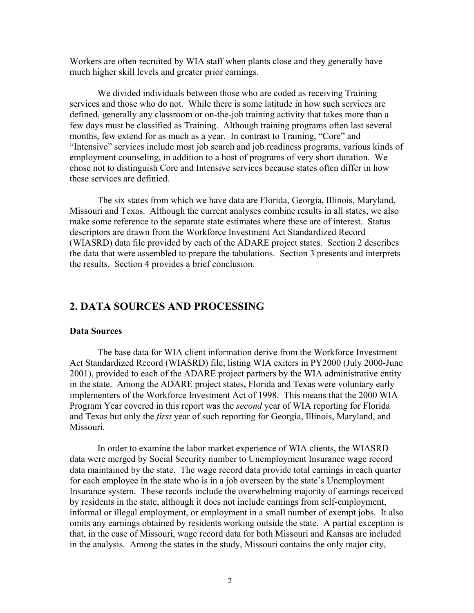Workers are often recruited by WIA staff when plants close and they generally have much higher skill levels and greater prior earnings.

We divided individuals between those who are coded as receiving Training services and those who do not. While there is some latitude in how such services are defined, generally any classroom or on-the-job training activity that takes more than a few days must be classified as Training. Although training programs often last several months, few extend for as much as a year. In contrast to Training, "Core" and "Intensive" services include most job search and job readiness programs, various kinds of employment counseling, in addition to a host of programs of very short duration. We chose not to distinguish Core and Intensive services because states often differ in how these services are definied.

The six states from which we have data are Florida, Georgia, Illinois, Maryland, Missouri and Texas. Although the current analyses combine results in all states, we also make some reference to the separate state estimates where these are of interest. Status descriptors are drawn from the Workforce Investment Act Standardized Record (WIASRD) data file provided by each of the ADARE project states. Section 2 describes the data that were assembled to prepare the tabulations. Section 3 presents and interprets the results. Section 4 provides a brief conclusion.

# **2. DATA SOURCES AND PROCESSING**

#### **Data Sources**

The base data for WIA client information derive from the Workforce Investment Act Standardized Record (WIASRD) file, listing WIA exiters in PY2000 (July 2000-June 2001), provided to each of the ADARE project partners by the WIA administrative entity in the state. Among the ADARE project states, Florida and Texas were voluntary early implementers of the Workforce Investment Act of 1998. This means that the 2000 WIA Program Year covered in this report was the *second* year of WIA reporting for Florida and Texas but only the *first* year of such reporting for Georgia, Illinois, Maryland, and **Missouri** 

In order to examine the labor market experience of WIA clients, the WIASRD data were merged by Social Security number to Unemployment Insurance wage record data maintained by the state. The wage record data provide total earnings in each quarter for each employee in the state who is in a job overseen by the state's Unemployment Insurance system. These records include the overwhelming majority of earnings received by residents in the state, although it does not include earnings from self-employment, informal or illegal employment, or employment in a small number of exempt jobs. It also omits any earnings obtained by residents working outside the state. A partial exception is that, in the case of Missouri, wage record data for both Missouri and Kansas are included in the analysis. Among the states in the study, Missouri contains the only major city,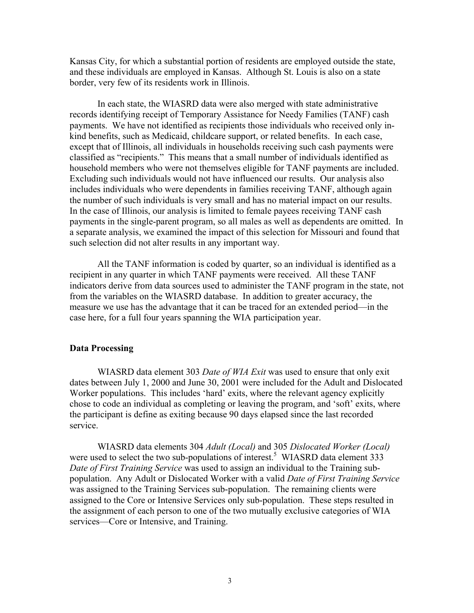Kansas City, for which a substantial portion of residents are employed outside the state, and these individuals are employed in Kansas. Although St. Louis is also on a state border, very few of its residents work in Illinois.

In each state, the WIASRD data were also merged with state administrative records identifying receipt of Temporary Assistance for Needy Families (TANF) cash payments. We have not identified as recipients those individuals who received only inkind benefits, such as Medicaid, childcare support, or related benefits. In each case, except that of Illinois, all individuals in households receiving such cash payments were classified as "recipients." This means that a small number of individuals identified as household members who were not themselves eligible for TANF payments are included. Excluding such individuals would not have influenced our results. Our analysis also includes individuals who were dependents in families receiving TANF, although again the number of such individuals is very small and has no material impact on our results. In the case of Illinois, our analysis is limited to female payees receiving TANF cash payments in the single-parent program, so all males as well as dependents are omitted. In a separate analysis, we examined the impact of this selection for Missouri and found that such selection did not alter results in any important way.

All the TANF information is coded by quarter, so an individual is identified as a recipient in any quarter in which TANF payments were received. All these TANF indicators derive from data sources used to administer the TANF program in the state, not from the variables on the WIASRD database. In addition to greater accuracy, the measure we use has the advantage that it can be traced for an extended period—in the case here, for a full four years spanning the WIA participation year.

### **Data Processing**

WIASRD data element 303 *Date of WIA Exit* was used to ensure that only exit dates between July 1, 2000 and June 30, 2001 were included for the Adult and Dislocated Worker populations. This includes 'hard' exits, where the relevant agency explicitly chose to code an individual as completing or leaving the program, and 'soft' exits, where the participant is define as exiting because 90 days elapsed since the last recorded service.

WIASRD data elements 304 *Adult (Local)* and 305 *Dislocated Worker (Local)* were used to select the two sub-populations of interest.<sup>5</sup> WIASRD data element  $333$ *Date of First Training Service* was used to assign an individual to the Training subpopulation. Any Adult or Dislocated Worker with a valid *Date of First Training Service* was assigned to the Training Services sub-population. The remaining clients were assigned to the Core or Intensive Services only sub-population. These steps resulted in the assignment of each person to one of the two mutually exclusive categories of WIA services—Core or Intensive, and Training.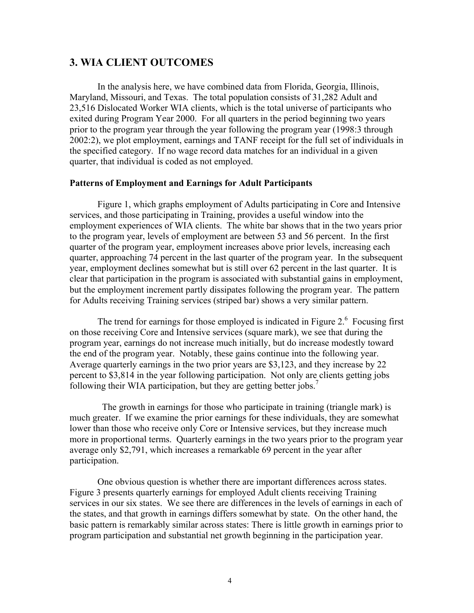## **3. WIA CLIENT OUTCOMES**

In the analysis here, we have combined data from Florida, Georgia, Illinois, Maryland, Missouri, and Texas. The total population consists of 31,282 Adult and 23,516 Dislocated Worker WIA clients, which is the total universe of participants who exited during Program Year 2000. For all quarters in the period beginning two years prior to the program year through the year following the program year (1998:3 through 2002:2), we plot employment, earnings and TANF receipt for the full set of individuals in the specified category. If no wage record data matches for an individual in a given quarter, that individual is coded as not employed.

## **Patterns of Employment and Earnings for Adult Participants**

Figure 1, which graphs employment of Adults participating in Core and Intensive services, and those participating in Training, provides a useful window into the employment experiences of WIA clients. The white bar shows that in the two years prior to the program year, levels of employment are between 53 and 56 percent. In the first quarter of the program year, employment increases above prior levels, increasing each quarter, approaching 74 percent in the last quarter of the program year. In the subsequent year, employment declines somewhat but is still over 62 percent in the last quarter. It is clear that participation in the program is associated with substantial gains in employment, but the employment increment partly dissipates following the program year. The pattern for Adults receiving Training services (striped bar) shows a very similar pattern.

The trend for earnings for those employed is indicated in Figure  $2<sup>6</sup>$  Focusing first on those receiving Core and Intensive services (square mark), we see that during the program year, earnings do not increase much initially, but do increase modestly toward the end of the program year. Notably, these gains continue into the following year. Average quarterly earnings in the two prior years are \$3,123, and they increase by 22 percent to \$3,814 in the year following participation. Not only are clients getting jobs following their WIA participation, but they are getting better jobs.<sup>7</sup>

 The growth in earnings for those who participate in training (triangle mark) is much greater. If we examine the prior earnings for these individuals, they are somewhat lower than those who receive only Core or Intensive services, but they increase much more in proportional terms. Quarterly earnings in the two years prior to the program year average only \$2,791, which increases a remarkable 69 percent in the year after participation.

One obvious question is whether there are important differences across states. Figure 3 presents quarterly earnings for employed Adult clients receiving Training services in our six states. We see there are differences in the levels of earnings in each of the states, and that growth in earnings differs somewhat by state. On the other hand, the basic pattern is remarkably similar across states: There is little growth in earnings prior to program participation and substantial net growth beginning in the participation year.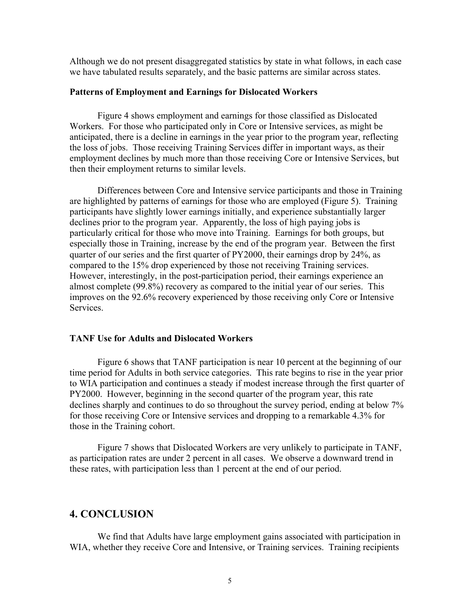Although we do not present disaggregated statistics by state in what follows, in each case we have tabulated results separately, and the basic patterns are similar across states.

#### **Patterns of Employment and Earnings for Dislocated Workers**

Figure 4 shows employment and earnings for those classified as Dislocated Workers. For those who participated only in Core or Intensive services, as might be anticipated, there is a decline in earnings in the year prior to the program year, reflecting the loss of jobs. Those receiving Training Services differ in important ways, as their employment declines by much more than those receiving Core or Intensive Services, but then their employment returns to similar levels.

Differences between Core and Intensive service participants and those in Training are highlighted by patterns of earnings for those who are employed (Figure 5). Training participants have slightly lower earnings initially, and experience substantially larger declines prior to the program year. Apparently, the loss of high paying jobs is particularly critical for those who move into Training. Earnings for both groups, but especially those in Training, increase by the end of the program year. Between the first quarter of our series and the first quarter of PY2000, their earnings drop by 24%, as compared to the 15% drop experienced by those not receiving Training services. However, interestingly, in the post-participation period, their earnings experience an almost complete (99.8%) recovery as compared to the initial year of our series. This improves on the 92.6% recovery experienced by those receiving only Core or Intensive Services.

#### **TANF Use for Adults and Dislocated Workers**

Figure 6 shows that TANF participation is near 10 percent at the beginning of our time period for Adults in both service categories. This rate begins to rise in the year prior to WIA participation and continues a steady if modest increase through the first quarter of PY2000. However, beginning in the second quarter of the program year, this rate declines sharply and continues to do so throughout the survey period, ending at below 7% for those receiving Core or Intensive services and dropping to a remarkable 4.3% for those in the Training cohort.

 Figure 7 shows that Dislocated Workers are very unlikely to participate in TANF, as participation rates are under 2 percent in all cases. We observe a downward trend in these rates, with participation less than 1 percent at the end of our period.

## **4. CONCLUSION**

We find that Adults have large employment gains associated with participation in WIA, whether they receive Core and Intensive, or Training services. Training recipients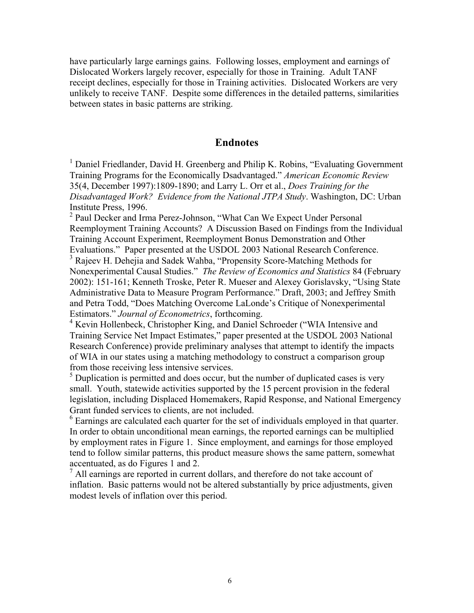have particularly large earnings gains. Following losses, employment and earnings of Dislocated Workers largely recover, especially for those in Training. Adult TANF receipt declines, especially for those in Training activities. Dislocated Workers are very unlikely to receive TANF. Despite some differences in the detailed patterns, similarities between states in basic patterns are striking.

## **Endnotes**

<sup>1</sup> Daniel Friedlander, David H. Greenberg and Philip K. Robins, "Evaluating Government Training Programs for the Economically Dsadvantaged.î *American Economic Review* 35(4, December 1997):1809-1890; and Larry L. Orr et al., *Does Training for the Disadvantaged Work? Evidence from the National JTPA Study*. Washington, DC: Urban Institute Press, 1996.

<sup>2</sup> Paul Decker and Irma Perez-Johnson, "What Can We Expect Under Personal Reemployment Training Accounts? A Discussion Based on Findings from the Individual Training Account Experiment, Reemployment Bonus Demonstration and Other Evaluations." Paper presented at the USDOL 2003 National Research Conference. <sup>3</sup> Rajeev H. Dehejia and Sadek Wahba, "Propensity Score-Matching Methods for

Nonexperimental Causal Studies.î *The Review of Economics and Statistics* 84 (February 2002): 151-161; Kenneth Troske, Peter R. Mueser and Alexey Gorislavsky, "Using State Administrative Data to Measure Program Performance." Draft, 2003; and Jeffrey Smith and Petra Todd, "Does Matching Overcome LaLonde's Critique of Nonexperimental Estimators.î *Journal of Econometrics*, forthcoming.

<sup>4</sup> Kevin Hollenbeck, Christopher King, and Daniel Schroeder ("WIA Intensive and Training Service Net Impact Estimates," paper presented at the USDOL 2003 National Research Conference) provide preliminary analyses that attempt to identify the impacts of WIA in our states using a matching methodology to construct a comparison group from those receiving less intensive services.

 $<sup>5</sup>$  Duplication is permitted and does occur, but the number of duplicated cases is very</sup> small. Youth, statewide activities supported by the 15 percent provision in the federal legislation, including Displaced Homemakers, Rapid Response, and National Emergency Grant funded services to clients, are not included.

 $6$  Earnings are calculated each quarter for the set of individuals employed in that quarter. In order to obtain unconditional mean earnings, the reported earnings can be multiplied by employment rates in Figure 1. Since employment, and earnings for those employed tend to follow similar patterns, this product measure shows the same pattern, somewhat accentuated, as do Figures 1 and 2.

7 All earnings are reported in current dollars, and therefore do not take account of inflation. Basic patterns would not be altered substantially by price adjustments, given modest levels of inflation over this period.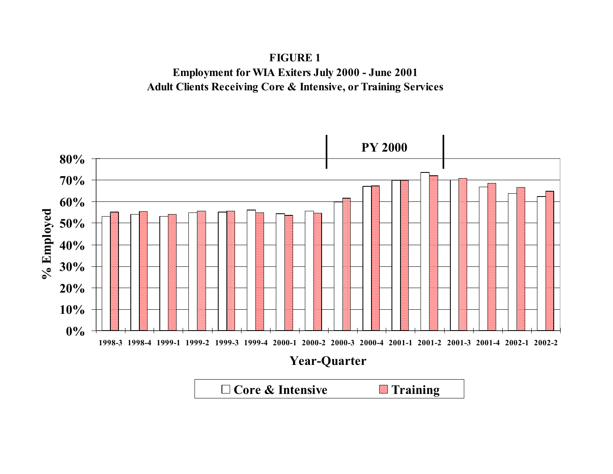

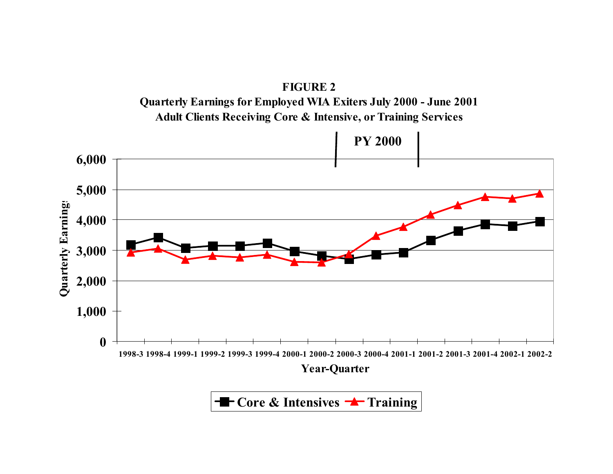

**Core & Intensives <sup>-</sup> Training**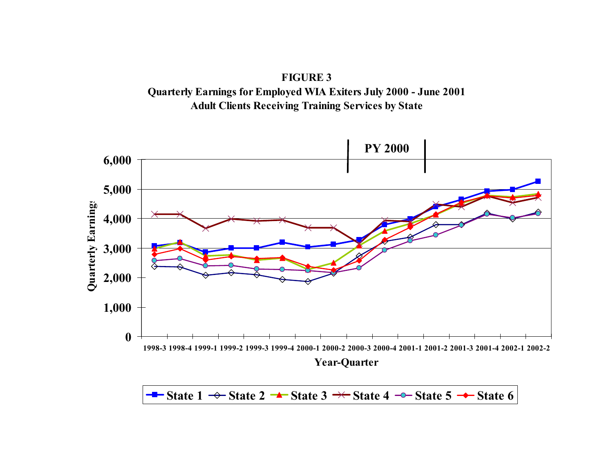

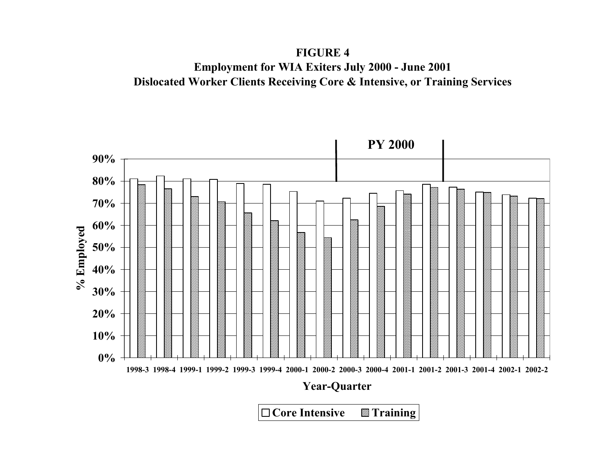**FIGURE 4 Employment for WIA Exiters July 2000 - June 2001 Dislocated Worker Clients Receiving Core & Intensive, or Training Services**

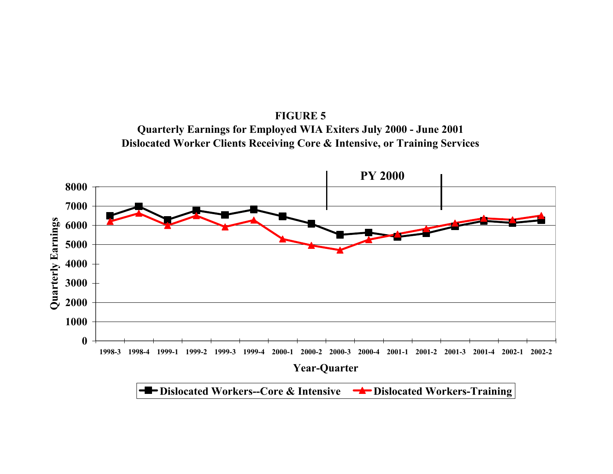

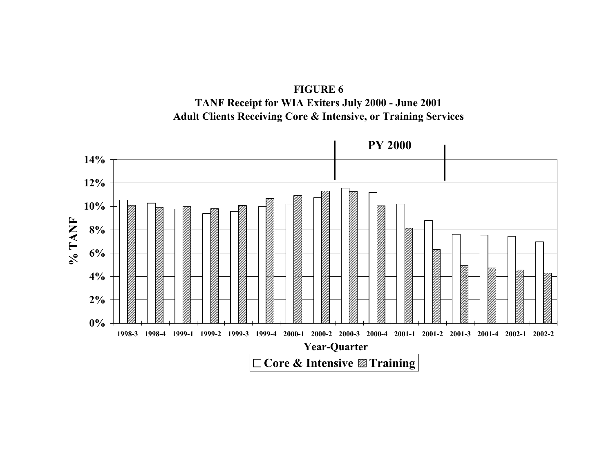